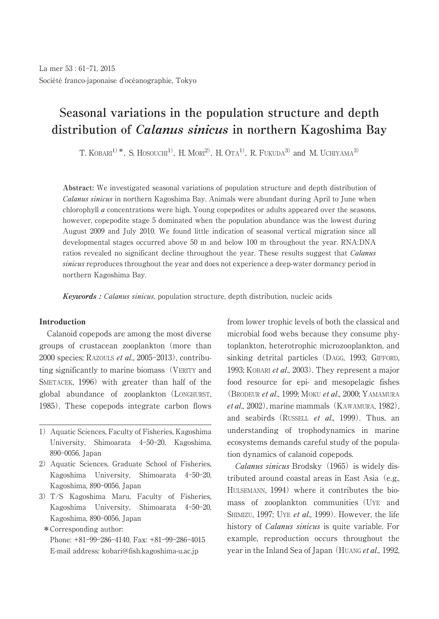# **Seasonal variations in the population structure and depth distribution of Calanus sinicus in northern Kagoshima Bay**

T. KOBARI<sup>1)</sup>\*, S. HOSOUCHI<sup>1</sup>, H. MORI<sup>2</sup>, H. OTA<sup>1</sup>, R. FUKUDA<sup>3)</sup> and M. UCHIYAMA<sup>3)</sup>

**Abstract:** We investigated seasonal variations of population structure and depth distribution of Calanus sinicus in northern Kagoshima Bay. Animals were abundant during April to June when chlorophyll a concentrations were high. Young copepodites or adults appeared over the seasons, however, copepodite stage 5 dominated when the population abundance was the lowest during August 2009 and July 2010. We found little indication of seasonal vertical migration since all developmental stages occurred above 50 m and below 100 m throughout the year. RNA:DNA ratios revealed no significant decline throughout the year. These results suggest that *Calanus* sinicus reproduces throughout the year and does not experience a deep-water dormancy period in northern Kagoshima Bay.

**Keywords :** Calanus sinicus, population structure, depth distribution, nucleic acids

#### Introduction

Calanoid copepods are among the most diverse groups of crustacean zooplankton(more than 2000 species; RAZOULS et al.,  $2005-2013$ ), contributing significantly to marine biomass(VERITY and SMETACEK, 1996) with greater than half of the global abundance of zooplankton(LONGHURST, 1985). These copepods integrate carbon flows

- 1)Aquatic Sciences, Faculty of Fisheries, Kagoshima University, Shimoarata 4-50-20, Kagoshima, 890-0056, Japan
- 2) Aquatic Sciences, Graduate School of Fisheries, Kagoshima University, Shimoarata 4-50-20, Kagoshima, 890-0056, Japan
- 3)T/S Kagoshima Maru, Faculty of Fisheries, Kagoshima University, Shimoarata 4-50-20, Kagoshima, 890-0056, Japan

\*Corresponding author: Phone: +81-99-286-4140, Fax: +81-99-286-4015 E-mail address: kobari@fish.kagoshima-u.ac.jp

from lower trophic levels of both the classical and microbial food webs because they consume phytoplankton, heterotrophic microzooplankton, and sinking detrital particles (DAGG, 1993; GIFFORD, 1993; KOBARI et al., 2003). They represent a major food resource for epi- and mesopelagic fishes (BRODEUR et al., 1999; MOKU et al., 2000; YAMAMURA  $et al., 2002$ , marine mammals (KAWAMURA, 1982), and seabirds (RUSSELL *et al.*, 1999). Thus, an understanding of trophodynamics in marine ecosystems demands careful study of the population dynamics of calanoid copepods.

Calanus sinicus Brodsky (1965) is widely distributed around coastal areas in East Asia  $(e.g.,$ HULSEMANN, 1994) where it contributes the biomass of zooplankton communities(UYE and SHIMIZU, 1997; UYE et al., 1999). However, the life history of Calanus sinicus is quite variable. For example, reproduction occurs throughout the year in the Inland Sea of Japan (HUANG *et al.*, 1992,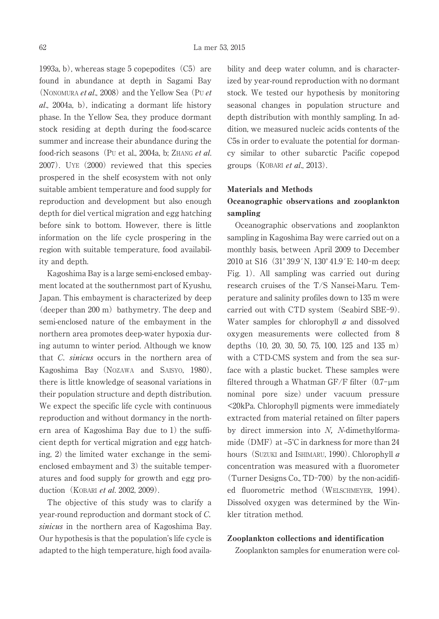1993a, b), whereas stage 5 copepodites  $(C5)$  are found in abundance at depth in Sagami Bay (NONOMURA et al., 2008) and the Yellow Sea (Pu et  $al_n$ , 2004a, b), indicating a dormant life history phase. In the Yellow Sea, they produce dormant stock residing at depth during the food-scarce summer and increase their abundance during the food-rich seasons (Pu et al., 2004a, b; ZHANG et al.  $2007$ ). UYE  $(2000)$  reviewed that this species prospered in the shelf ecosystem with not only suitable ambient temperature and food supply for reproduction and development but also enough depth for diel vertical migration and egg hatching before sink to bottom. However, there is little information on the life cycle prospering in the region with suitable temperature, food availability and depth.

Kagoshima Bay is a large semi-enclosed embayment located at the southernmost part of Kyushu, Japan. This embayment is characterized by deep  $(deeper than 200 m)$  bathymetry. The deep and semi-enclosed nature of the embayment in the northern area promotes deep-water hypoxia during autumn to winter period. Although we know that C. sinicus occurs in the northern area of Kagoshima Bay(NOZAWA and SAISYO, 1980), there is little knowledge of seasonal variations in their population structure and depth distribution. We expect the specific life cycle with continuous reproduction and without dormancy in the northern area of Kagoshima Bay due to 1) the sufficient depth for vertical migration and egg hatching, 2) the limited water exchange in the semienclosed embayment and 3) the suitable temperatures and food supply for growth and egg production (KOBARI et al. 2002, 2009).

The objective of this study was to clarify a year-round reproduction and dormant stock of C. sinicus in the northern area of Kagoshima Bay. Our hypothesis is that the population's life cycle is adapted to the high temperature, high food availability and deep water column, and is characterized by year-round reproduction with no dormant stock. We tested our hypothesis by monitoring seasonal changes in population structure and depth distribution with monthly sampling. In addition, we measured nucleic acids contents of the C5s in order to evaluate the potential for dormancy similar to other subarctic Pacific copepod groups (KOBARI et al., 2013).

#### Materials and Methods

# Oceanographic observations and zooplankton sampling

Oceanographic observations and zooplankton sampling in Kagoshima Bay were carried out on a monthly basis, between April 2009 to December 2010 at S16(31°39.9́N, 130°41.9́E: 140-m deep; Fig. 1). All sampling was carried out during research cruises of the T/S Nansei-Maru. Temperature and salinity profiles down to 135 m were carried out with CTD system (Seabird SBE-9). Water samples for chlorophyll  $a$  and dissolved oxygen measurements were collected from 8 depths (10, 20, 30, 50, 75, 100, 125 and 135 m) with a CTD-CMS system and from the sea surface with a plastic bucket. These samples were filtered through a Whatman GF/F filter $(0.7-\mu m)$ nominal pore size) under vacuum pressure <20kPa. Chlorophyll pigments were immediately extracted from material retained on filter papers by direct immersion into N, N-dimethylformamide (DMF) at  $-5^{\circ}$ C in darkness for more than 24 hours (SUZUKI and ISHIMARU, 1990). Chlorophyll a concentration was measured with a fluorometer (Turner Designs Co., TD-700) by the non-acidified fluorometric method(WELSCHMEYER, 1994). Dissolved oxygen was determined by the Winkler titration method.

## Zooplankton collections and identification

Zooplankton samples for enumeration were col-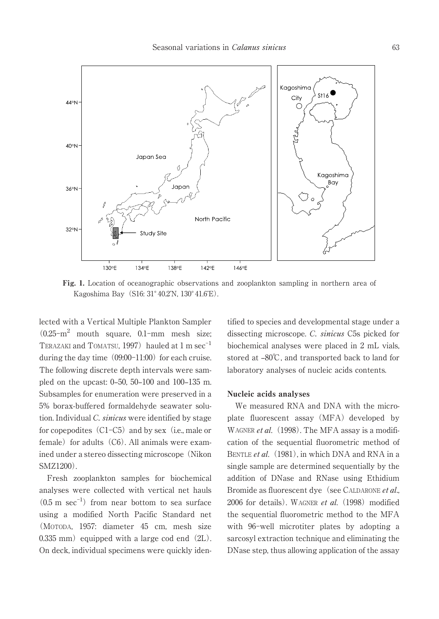

Fig. 1. Location of oceanographic observations and zooplankton sampling in northern area of

lected with a Vertical Multiple Plankton Sampler  $(0.25-m^2$  mouth square, 0.1-mm mesh size; TERAZAKI and TOMATSU,  $1997$ ) hauled at 1 m sec<sup>-1</sup> during the day time $(09:00-11:00)$  for each cruise. The following discrete depth intervals were sampled on the upcast: 0–50, 50–100 and 100–135 m. Subsamples for enumeration were preserved in a 5% borax-buffered formaldehyde seawater solution. Individual C. *sinicus* were identified by stage for copepodites  $(C1-C5)$  and by sex (i.e., male or female) for adults  $(C6)$ . All animals were examined under a stereo dissecting microscope (Nikon SMZ1200). Kagoshima Bay (S16: 31°40.2'N, 130°41.6'E).<br>
h a Vertical Multiple Plankton Sampler<br>
mouth square, 0.1-mm mesh size;<br>
and TOMATSU, 1997) hauled at 1 m sec<sup>-1</sup><br>
e day time (09:00-11:00) for each cruise.<br>
wing discrete dept

Fresh zooplankton samples for biochemical analyses were collected with vertical net hauls  $(0.5 \text{ m } \sec^{-1})$  from near bottom to sea surface using a modified North Pacific Standard net (MOTODA, 1957: diameter 45 cm, mesh size  $(0.335 \text{ mm})$  equipped with a large cod end  $(2L)$ . On deck, individual specimens were quickly iden-

tified to species and developmental stage under a dissecting microscope. C. sinicus C5s picked for biochemical analyses were placed in 2 mL vials, stored at –80℃, and transported back to land for laboratory analyses of nucleic acids contents.

#### Nucleic acids analyses

We measured RNA and DNA with the microplate fluorescent assay (MFA) developed by WAGNER *et al.* (1998). The MFA assay is a modification of the sequential fluorometric method of BENTLE et al.  $(1981)$ , in which DNA and RNA in a single sample are determined sequentially by the addition of DNase and RNase using Ethidium Bromide as fluorescent dye (see CALDARONE et al., 2006 for details). WAGNER *et al.*  $(1998)$  modified the sequential fluorometric method to the MFA with 96-well microtiter plates by adopting a sarcosyl extraction technique and eliminating the DNase step, thus allowing application of the assay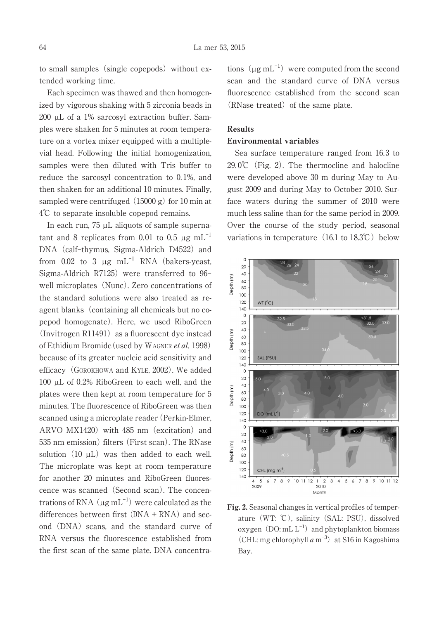to small samples (single copepods) without extended working time.

Each specimen was thawed and then homogenized by vigorous shaking with 5 zirconia beads in 200 µL of a 1% sarcosyl extraction buffer. Samples were shaken for 5 minutes at room temperature on a vortex mixer equipped with a multiplevial head. Following the initial homogenization, samples were then diluted with Tris buffer to reduce the sarcosyl concentration to 0. 1%, and then shaken for an additional 10 minutes. Finally, sampled were centrifuged  $(15000 \text{ g})$  for 10 min at 4℃ to separate insoluble copepod remains.

In each run, 75  $\mu$ L aliquots of sample supernatant and 8 replicates from 0.01 to 0.5  $\mu$ g mL<sup>-1</sup> DNA (calf-thymus, Sigma-Aldrich D4522) and from  $0.02$  to 3  $\mu$ g mL<sup>-1</sup> RNA (bakers-yeast, Sigma-Aldrich R7125) were transferred to  $96$ well microplates (Nunc). Zero concentrations of the standard solutions were also treated as reagent blanks (containing all chemicals but no copepod homogenate). Here, we used RiboGreen  $\text{Invitrogen R11491}$  as a fluorescent dye instead of Ethidium Bromide(used by WAGNER et al. 1998) because of its greater nucleic acid sensitivity and efficacy(GOROKHOWA and KYLE, 2002). We added 100 µL of 0.2% RiboGreen to each well, and the plates were then kept at room temperature for 5 minutes. The fluorescence of RiboGreen was then scanned using a microplate reader (Perkin-Elmer, ARVO MX1420) with 485 nm (excitation) and 535 nm emission) filters (First scan). The RNase solution  $(10 \mu L)$  was then added to each well. The microplate was kept at room temperature for another 20 minutes and RiboGreen fluorescence was scanned (Second scan). The concentrations of RNA  $(\mu g \, mL^{-1})$  were calculated as the differences between first (DNA + RNA) and second (DNA) scans, and the standard curve of RNA versus the fluorescence established from the first scan of the same plate. DNA concentra-

tions  $(\mu g \, mL^{-1})$  were computed from the second scan and the standard curve of DNA versus fluorescence established from the second scan (RNase treated) of the same plate.

#### Results

#### Environmental variables

Sea surface temperature ranged from 16.3 to 29.0 $\degree$  (Fig. 2). The thermocline and halocline were developed above 30 m during May to August 2009 and during May to October 2010. Surface waters during the summer of 2010 were much less saline than for the same period in 2009. Over the course of the study period, seasonal variations in temperature  $(16.1 \text{ to } 18.3\degree\text{C})$  below



Fig. 2. Seasonal changes in vertical profiles of temperature(WT: ℃), salinity(SAL: PSU), dissolved oxygen  $(DO; mL L^{-1})$  and phytoplankton biomass (CHL: mg chlorophyll  $a$  m<sup>-3</sup>) at S16 in Kagoshima Bay.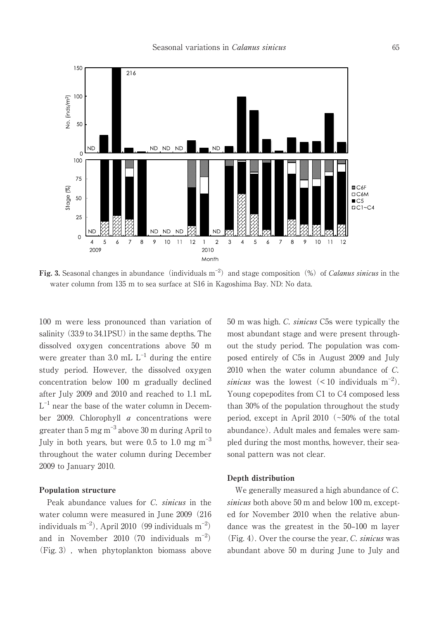

Fig. 3. Seasonal changes in abundance (individuals  $m^{-2}$ ) and stage composition (%) of *Calanus sinicus* in the water column from 135 m to sea surface at S16 in Kagoshima Bay. ND: No data.

100 m were less pronounced than variation of salinity  $(33.9 \text{ to } 34.1 \text{PSU})$  in the same depths. The dissolved oxygen concentrations above 50 m were greater than 3.0 mL  $L^{-1}$  during the entire study period. However, the dissolved oxygen concentration below 100 m gradually declined after July 2009 and 2010 and reached to 1.1 mL L<sup>-1</sup> near the base of the water column in December 2009. Chlorophyll  $a$  concentrations were greater than  $5 \text{ mg m}^{-3}$  above  $30 \text{ m}$  during April to July in both years, but were  $0.5$  to  $1.0 \text{ mg m}^{-3}$ throughout the water column during December 2009 to January 2010.

## Population structure

Peak abundance values for C. sinicus in the water column were measured in June 2009 (216 individuals  $m^{-2}$ ), April 2010 (99 individuals  $m^{-2}$ ) and in November 2010 (70 individuals  $m^{-2}$ ) (Fig. 3), when phytoplankton biomass above

50 m was high. C. sinicus C5s were typically the most abundant stage and were present throughout the study period. The population was composed entirely of C5s in August 2009 and July 2010 when the water column abundance of C. sinicus was the lowest  $(< 10$  individuals m<sup>-2</sup>). Young copepodites from C1 to C4 composed less than 30% of the population throughout the study period, except in April 2010 ( $\sim$ 50% of the total abundance). Adult males and females were sampled during the most months, however, their seasonal pattern was not clear.

#### Depth distribution

We generally measured a high abundance of C. sinicus both above 50 m and below 100 m, excepted for November 2010 when the relative abundance was the greatest in the 50–100 m layer (Fig. 4). Over the course the year, C. sinicus was abundant above 50 m during June to July and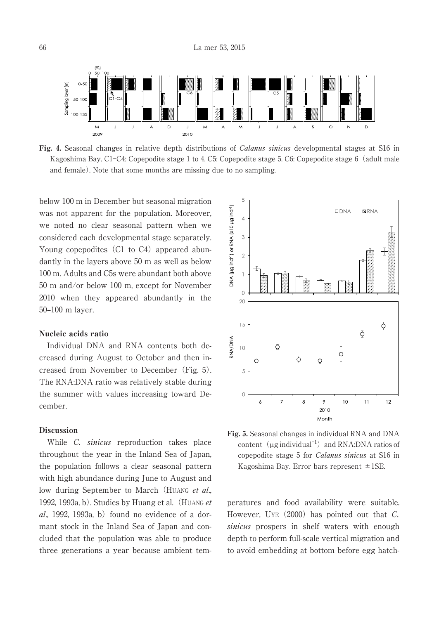

Fig. 4. Seasonal changes in relative depth distributions of *Calanus sinicus* developmental stages at S16 in Kagoshima Bay. C1-C4: Copepodite stage 1 to 4. C5: Copepodite stage 5. C6: Copepodite stage 6(adult male and female). Note that some months are missing due to no sampling.

below 100 m in December but seasonal migration was not apparent for the population. Moreover, we noted no clear seasonal pattern when we considered each developmental stage separately. Young copepodites (C1 to C4) appeared abundantly in the layers above 50 m as well as below 100 m. Adults and C5s were abundant both above 50 m and/or below 100 m, except for November 2010 when they appeared abundantly in the 50–100 m layer.

#### Nucleic acids ratio

Individual DNA and RNA contents both decreased during August to October and then increased from November to December (Fig. 5). The RNA:DNA ratio was relatively stable during the summer with values increasing toward December.

# Discussion

While *C. sinicus* reproduction takes place throughout the year in the Inland Sea of Japan, the population follows a clear seasonal pattern with high abundance during June to August and low during September to March (HUANG et al., 1992, 1993a, b). Studies by Huang et al. (HUANG  $et$  $al$ , 1992, 1993a, b) found no evidence of a dormant stock in the Inland Sea of Japan and concluded that the population was able to produce three generations a year because ambient tem-



Fig. 5. Seasonal changes in individual RNA and DNA content  $(\mu g \text{ individual}^{-1})$  and RNA:DNA ratios of copepodite stage 5 for Calanus sinicus at S16 in Kagoshima Bay. Error bars represent  $\pm$  1SE.

peratures and food availability were suitable. However, UYE  $(2000)$  has pointed out that C. sinicus prospers in shelf waters with enough depth to perform full-scale vertical migration and to avoid embedding at bottom before egg hatch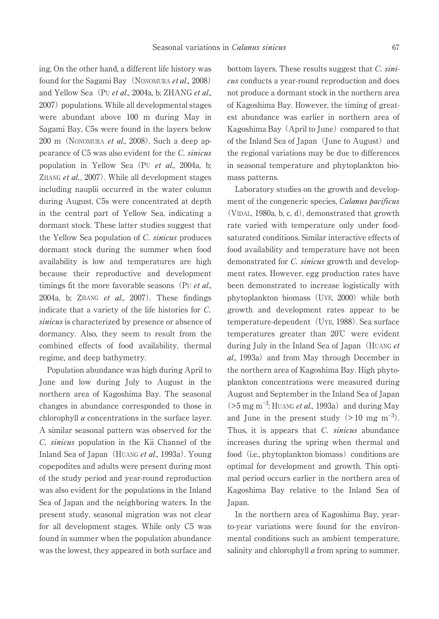ing. On the other hand, a different life history was found for the Sagami Bay (NONOMURA et al., 2008) and Yellow Sea (Pu et al., 2004a, b; ZHANG et al., 2007) populations. While all developmental stages were abundant above 100 m during May in Sagami Bay, C5s were found in the layers below 200 m (NONOMURA *et al.*, 2008). Such a deep appearance of C5 was also evident for the C. sinicus population in Yellow Sea (Pu et al., 2004a, b; ZHANG et al., 2007). While all development stages including nauplii occurred in the water column during August, C5s were concentrated at depth in the central part of Yellow Sea, indicating a dormant stock. These latter studies suggest that the Yellow Sea population of C. sinicus produces dormant stock during the summer when food availability is low and temperatures are high because their reproductive and development timings fit the more favorable seasons (PU et al., 2004a, b; ZHANG et al., 2007). These findings indicate that a variety of the life histories for C. sinicus is characterized by presence or absence of dormancy. Also, they seem to result from the combined effects of food availability, thermal regime, and deep bathymetry.

Population abundance was high during April to June and low during July to August in the northern area of Kagoshima Bay. The seasonal changes in abundance corresponded to those in chlorophyll a concentrations in the surface layer. A similar seasonal pattern was observed for the C. sinicus population in the Kii Channel of the Inland Sea of Japan (HUANG et al., 1993a). Young copepodites and adults were present during most of the study period and year-round reproduction was also evident for the populations in the Inland Sea of Japan and the neighboring waters. In the present study, seasonal migration was not clear for all development stages. While only C5 was found in summer when the population abundance was the lowest, they appeared in both surface and bottom layers. These results suggest that C. sinicus conducts a year-round reproduction and does not produce a dormant stock in the northern area of Kagoshima Bay. However, the timing of greatest abundance was earlier in northern area of Kagoshima Bay (April to June) compared to that of the Inland Sea of Japan (June to August) and the regional variations may be due to differences in seasonal temperature and phytoplankton biomass patterns.

Laboratory studies on the growth and development of the congeneric species, Calanus pacificus (VIDAL, 1980a, b, c, d), demonstrated that growth rate varied with temperature only under foodsaturated conditions. Similar interactive effects of food availability and temperature have not been demonstrated for C. sinicus growth and development rates. However, egg production rates have been demonstrated to increase logistically with phytoplankton biomass (UYE, 2000) while both growth and development rates appear to be temperature-dependent (UYE, 1988). Sea surface temperatures greater than 20℃ were evident during July in the Inland Sea of Japan (HUANG  $et$  $al_n$  1993a) and from May through December in the northern area of Kagoshima Bay. High phytoplankton concentrations were measured during August and September in the Inland Sea of Japan  $($ >5 mg m<sup>-3</sup>: HUANG *et al.*, 1993a) and during May and June in the present study  $(>10 \text{ mg m}^{-3})$ . Thus, it is appears that C. sinicus abundance increases during the spring when thermal and food (i.e., phytoplankton biomass) conditions are optimal for development and growth. This optimal period occurs earlier in the northern area of Kagoshima Bay relative to the Inland Sea of Japan.

In the northern area of Kagoshima Bay, yearto-year variations were found for the environmental conditions such as ambient temperature, salinity and chlorophyll  $\alpha$  from spring to summer.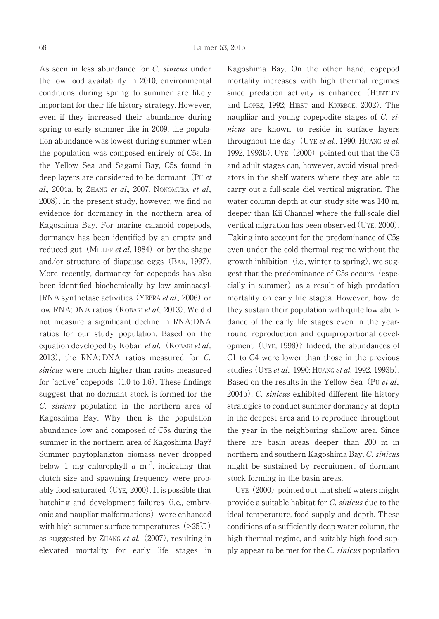As seen in less abundance for C. sinicus under the low food availability in 2010, environmental conditions during spring to summer are likely important for their life history strategy. However, even if they increased their abundance during spring to early summer like in 2009, the population abundance was lowest during summer when the population was composed entirely of C5s. In the Yellow Sea and Sagami Bay, C5s found in deep layers are considered to be dormant (Pu  $et$  $al.$  2004a, b: ZHANG et al., 2007, NONOMURA et al. 2008). In the present study, however, we find no evidence for dormancy in the northern area of Kagoshima Bay. For marine calanoid copepods, dormancy has been identified by an empty and reduced gut (MILLER *et al.* 1984) or by the shape and/or structure of diapause eggs(BAN, 1997). More recently, dormancy for copepods has also been identified biochemically by low aminoacyltRNA synthetase activities (YEBRA *et al.*, 2006) or low RNA:DNA ratios (KOBARI et al., 2013). We did not measure a significant decline in RNA:DNA ratios for our study population. Based on the equation developed by Kobari et al. (KOBARI et al., 2013), the RNA: DNA ratios measured for C. sinicus were much higher than ratios measured for "active" copepods  $(1.0 \text{ to } 1.6)$ . These findings suggest that no dormant stock is formed for the C. sinicus population in the northern area of Kagoshima Bay. Why then is the population abundance low and composed of C5s during the summer in the northern area of Kagoshima Bay? Summer phytoplankton biomass never dropped below 1 mg chlorophyll  $a \text{ m}^{-3}$ , indicating that clutch size and spawning frequency were probably food-saturated (UYE,  $2000$ ). It is possible that hatching and development failures (i.e., embryonic and naupliar malformations) were enhanced with high summer surface temperatures  $(>25°C)$ as suggested by ZHANG et al.  $(2007)$ , resulting in elevated mortality for early life stages in Kagoshima Bay. On the other hand, copepod mortality increases with high thermal regimes since predation activity is enhanced (HUNTLEY and LOPEZ, 1992; HIRST and KIØRBOE, 2002). The naupliiar and young copepodite stages of C. sinicus are known to reside in surface layers throughout the day (UYE et al., 1990; HUANG et al. 1992, 1993b). UYE (2000) pointed out that the C5 and adult stages can, however, avoid visual predators in the shelf waters where they are able to carry out a full-scale diel vertical migration. The water column depth at our study site was 140 m, deeper than Kii Channel where the full-scale diel vertical migration has been observed (UYE, 2000). Taking into account for the predominance of C5s even under the cold thermal regime without the growth inhibition (i.e., winter to spring), we suggest that the predominance of C5s occurs(especially in summer) as a result of high predation mortality on early life stages. However, how do they sustain their population with quite low abundance of the early life stages even in the yearround reproduction and equiproportional development (UYE, 1998)? Indeed, the abundances of C1 to C4 were lower than those in the previous studies (UYE et al., 1990; HUANG et al., 1992, 1993b). Based on the results in the Yellow Sea (Pu et al., 2004b), C. sinicus exhibited different life history strategies to conduct summer dormancy at depth in the deepest area and to reproduce throughout the year in the neighboring shallow area. Since there are basin areas deeper than 200 m in northern and southern Kagoshima Bay, C. sinicus might be sustained by recruitment of dormant stock forming in the basin areas.

UYE $(2000)$  pointed out that shelf waters might provide a suitable habitat for C. sinicus due to the ideal temperature, food supply and depth. These conditions of a sufficiently deep water column, the high thermal regime, and suitably high food supply appear to be met for the C. sinicus population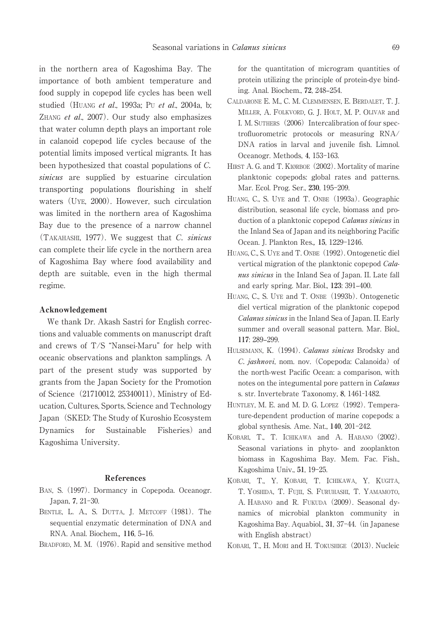in the northern area of Kagoshima Bay. The importance of both ambient temperature and food supply in copepod life cycles has been well studied (HUANG et al., 1993a; PU et al., 2004a, b; ZHANG et al., 2007). Our study also emphasizes that water column depth plays an important role in calanoid copepod life cycles because of the potential limits imposed vertical migrants. It has been hypothesized that coastal populations of C. sinicus are supplied by estuarine circulation transporting populations flourishing in shelf waters (UYE, 2000). However, such circulation was limited in the northern area of Kagoshima Bay due to the presence of a narrow channel (TAKAHASHI, 1977). We suggest that C. sinicus can complete their life cycle in the northern area of Kagoshima Bay where food availability and depth are suitable, even in the high thermal regime.

#### Acknowledgement

We thank Dr. Akash Sastri for English corrections and valuable comments on manuscript draft and crews of T/S "Nansei-Maru" for help with oceanic observations and plankton samplings. A part of the present study was supported by grants from the Japan Society for the Promotion of Science(21710012, 25340011), Ministry of Education, Cultures, Sports, Science and Technology Japan(SKED: The Study of Kuroshio Ecosystem Dynamics for Sustainable Fisheries) and Kagoshima University.

#### References

- BAN, S. (1997). Dormancy in Copepoda. Oceanogr. Japan, **7**, 21-30.
- BENTLE, L. A., S. DUTTA, J. METCOFF (1981). The sequential enzymatic determination of DNA and RNA. Anal. Biochem., **116**, 5–16.
- BRADFORD, M. M. (1976). Rapid and sensitive method

for the quantitation of microgram quantities of protein utilizing the principle of protein-dye binding. Anal. Biochem., **72**, 248–254.

- CALDARONE E. M., C. M. CLEMMENSEN, E. BERDALET, T. J. MILLER, A. FOLKVORD, G. J. HOLT, M. P. OLIVAR and I. M. SUTHERS (2006) Intercalibration of four spectrofluorometric protocols or measuring RNA/ DNA ratios in larval and juvenile fish. Limnol. Oceanogr. Methods, **4**, 153-163.
- HIRST A. G. and T. KIØRBOE (2002). Mortality of marine planktonic copepods: global rates and patterns. Mar. Ecol. Prog. Ser., **230**, 195-209.
- HUANG, C., S. UYE and T. ONBE (1993a). Geographic distribution, seasonal life cycle, biomass and production of a planktonic copepod Calanus sinicus in the Inland Sea of Japan and its neighboring Pacific Ocean. J. Plankton Res., **15**, 1229-1246.
- HUANG, C., S. UYE and T. ONBE (1992). Ontogenetic diel vertical migration of the planktonic copepod Calanus sinicus in the Inland Sea of Japan. II. Late fall and early spring. Mar. Biol., **123**: 391–400.
- HUANG, C., S. UYE and T. ONBE (1993b). Ontogenetic diel vertical migration of the planktonic copepod Calanus sinicus in the Inland Sea of Japan. II. Early summer and overall seasonal pattern. Mar. Biol., **117**: 289–299.
- HULSEMANN, K. (1994). Calanus sinicus Brodsky and C. jashnovi, nom. nov. (Copepoda: Calanoida) of the north-west Pacific Ocean: a comparison, with notes on the integumental pore pattern in Calanus s. str. Invertebrate Taxonomy, **8**, 1461-1482.
- HUNTLEY, M. E. and M. D. G. LOPEZ (1992). Temperature-dependent production of marine copepods: a global synthesis. Ame. Nat., **140**, 201-242.
- KOBARI, T., T. ICHIKAWA and A. HABANO (2002). Seasonal variations in phyto- and zooplankton biomass in Kagoshima Bay. Mem. Fac. Fish., Kagoshima Univ., **51**, 19-25.
- KOBARI, T., Y. KOBARI, T. ICHIKAWA, Y. KUGITA, T. YOSHIDA, T. FUJII, S. FURUHASHI, T. YAMAMOTO, A. HABANO and R. FUKUDA (2009). Seasonal dynamics of microbial plankton community in Kagoshima Bay. Aquabiol., **31**, 37-44.(in Japanese with English abstract)
- KOBARI, T., H. MORI and H. TOKUSHIGE (2013). Nucleic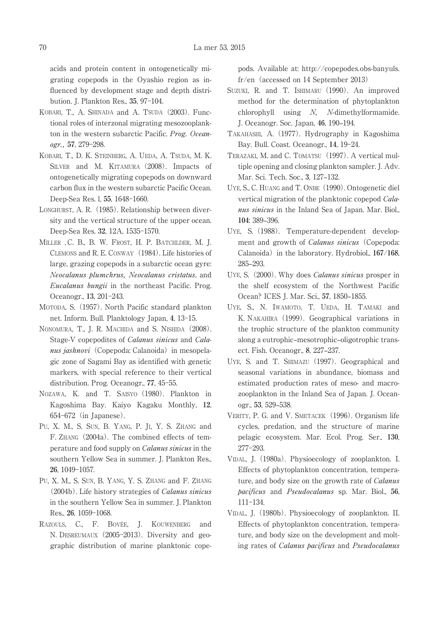acids and protein content in ontogenetically migrating copepods in the Oyashio region as influenced by development stage and depth distribution. J. Plankton Res., **35**, 97-104.

- KOBARI, T., A. SHINADA and A. TSUDA (2003). Functional roles of interzonal migrating mesozooplankton in the western subarctic Pacific. Prog. Oceanogr., **57**, 279-298.
- KOBARI, T., D. K. STEINBERG, A. UEDA, A. TSUDA, M. K. SILVER and M. KITAMURA (2008). Impacts of ontogenetically migrating copepods on downward carbon flux in the western subarctic Pacific Ocean. Deep-Sea Res. l, **55**, 1648-1660.
- LONGHURST, A. R. (1985). Relationship between diversity and the vertical structure of the upper ocean. Deep-Sea Res. **32**, 12A, 1535-1570.
- MILLER , C. B., B. W. FROST, H. P. BATCHLDER, M. J. CLEMONS and R. E. CONWAY (1984). Life histories of large, grazing copepods in a subarctic ocean gyre: Neocalanus plumchrus, Neocalanus cristatus, and Eucalanus bungii in the northeast Pacific. Prog. Oceanogr., **13**, 201-243.
- MOTODA, S.(1957). North Pacific standard plankton net. Inform. Bull. Planktology Japan, **4**, 13-15.
- NONOMURA, T., J. R. MACHIDA and S. NISHIDA (2008). Stage-V copepodites of Calanus sinicus and Cala $nus jashnovi$  (Copepoda: Calanoida) in mesopelagic zone of Sagami Bay as identified with genetic markers, with special reference to their vertical distribution. Prog. Oceanogr., **77**, 45-55.
- NOZAWA, K. and T. SAISYO (1980). Plankton in Kagoshima Bay. Kaiyo Kagaku Monthly, **12**,  $654-672$  (in Japanese).
- PU, X. M., S. SUN, B. YANG, P. JI, Y. S. ZHANG and F. ZHANG (2004a). The combined effects of temperature and food supply on Calanus sinicus in the southern Yellow Sea in summer. J. Plankton Res., **26**, 1049-1057.
- PU, X. M., S. SUN, B. YANG, Y. S. ZHANG and F. ZHANG (2004b). Life history strategies of Calanus sinicus in the southern Yellow Sea in summer. J. Plankton Res., **26**, 1059-1068.
- RAZOULS, C., F. BOVÉE, J. KOUWENBERG and N. DESREUMAUX (2005-2013). Diversity and geographic distribution of marine planktonic cope-

pods. Available at: http://copepodes.obs-banyuls. fr/en $(accessed on 14 September 2013)$ 

- SUZUKI, R. and T. ISHIMARU (1990). An improved method for the determination of phytoplankton chlorophyll using N, N-dimethylformamide. J. Oceanogr. Soc. Japan, **46**, 190–194.
- TAKAHASHI, A.(1977). Hydrography in Kagoshima Bay. Bull. Coast. Oceanogr., **14**, 19-24.
- TERAZAKI, M. and C. TOMATSU (1997). A vertical multiple opening and closing plankton sampler. J. Adv. Mar. Sci. Tech. Soc., **3**, 127–132.
- UYE, S., C. HUANG and T. ONBE (1990). Ontogenetic diel vertical migration of the planktonic copepod Calanus sinicus in the Inland Sea of Japan. Mar. Biol., **104**: 389–396.
- UYE, S.(1988). Temperature-dependent development and growth of *Calanus sinicus* (Copepoda: Calanoida) in the laboratory. Hydrobiol., 167/168, 285–293.
- UYE, S. (2000). Why does *Calanus sinicus* prosper in the shelf ecosystem of the Northwest Pacific Ocean? ICES J. Mar. Sci., **57**, 1850–1855.
- UYE, S., N. IWAMOTO, T. UEDA, H. TAMAKI and K. NAKAHIRA (1999). Geographical variations in the trophic structure of the plankton community along a eutrophic–mesotrophic–oligotrophic transect. Fish. Oceanogr., **8**, 227–237.
- UYE, S. and T. SHIMAZU (1997). Geographical and seasonal variations in abundance, biomass and estimated production rates of meso- and macrozooplankton in the Inland Sea of Japan. J. Oceanogr., **53**, 529–538.
- VERITY, P. G. and V. SMETACEK (1996). Organism life cycles, predation, and the structure of marine pelagic ecosystem. Mar. Ecol. Prog. Ser., **130**, 277-293.
- VIDAL, J.(1980a). Physioecology of zooplankton. I. Effects of phytoplankton concentration, temperature, and body size on the growth rate of Calanus pacificus and Pseudocalanus sp. Mar. Biol., **56**, 111-134.
- VIDAL, J.(1980b). Physioecology of zooplankton. II. Effects of phytoplankton concentration, temperature, and body size on the development and molting rates of Calanus pacificus and Pseudocalanus